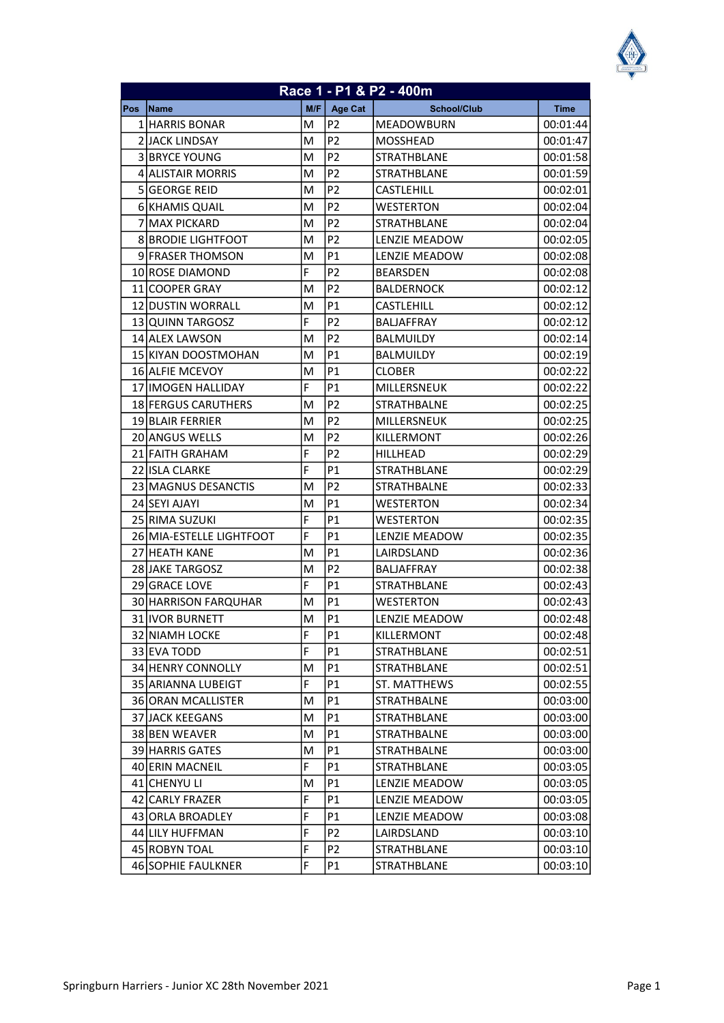| Race 1 - P1 & P2 - 400m |                           |    |                |                    |             |
|-------------------------|---------------------------|----|----------------|--------------------|-------------|
| <b>Pos</b>              | Name                      |    | $M/F$ Age Cat  | <b>School/Club</b> | <b>Time</b> |
|                         | 1 HARRIS BONAR            | м  | P2             | <b>MEADOWBURN</b>  | 00:01:44    |
|                         | 2 JACK LINDSAY            | M  | P <sub>2</sub> | MOSSHEAD           | 00:01:47    |
|                         | 3 BRYCE YOUNG             | м  | P2             | <b>STRATHBLANE</b> | 00:01:58    |
|                         | 4 ALISTAIR MORRIS         | M  | P <sub>2</sub> | STRATHBLANE        | 00:01:59    |
|                         | 5 GEORGE REID             | M  | P <sub>2</sub> | <b>CASTLEHILL</b>  | 00:02:01    |
|                         | 6 KHAMIS QUAIL            | м  | P <sub>2</sub> | <b>WESTERTON</b>   | 00:02:04    |
|                         | 7 MAX PICKARD             | м  | P <sub>2</sub> | <b>STRATHBLANE</b> | 00:02:04    |
|                         | <b>8 BRODIE LIGHTFOOT</b> | M  | P <sub>2</sub> | LENZIE MEADOW      | 00:02:05    |
|                         | 9 FRASER THOMSON          | M  | P <sub>1</sub> | LENZIE MEADOW      | 00:02:08    |
|                         | 10 ROSE DIAMOND           | F  | P <sub>2</sub> | <b>BEARSDEN</b>    | 00:02:08    |
|                         | 11 COOPER GRAY            | M  | P <sub>2</sub> | <b>BALDERNOCK</b>  | 00:02:12    |
|                         | <b>12 DUSTIN WORRALL</b>  | M  | P1             | CASTLEHILL         | 00:02:12    |
|                         | 13 QUINN TARGOSZ          | F  | P <sub>2</sub> | <b>BALJAFFRAY</b>  | 00:02:12    |
|                         | 14 ALEX LAWSON            | м  | P <sub>2</sub> | <b>BALMUILDY</b>   | 00:02:14    |
|                         | 15 KIYAN DOOSTMOHAN       | м  | P <sub>1</sub> | <b>BALMUILDY</b>   | 00:02:19    |
|                         | 16 ALFIE MCEVOY           | M  | P1             | <b>CLOBER</b>      | 00:02:22    |
|                         | 17 IIMOGEN HALLIDAY       | F  | P1             | MILLERSNEUK        | 00:02:22    |
|                         | 18 FERGUS CARUTHERS       | M  | P <sub>2</sub> | <b>STRATHBALNE</b> | 00:02:25    |
|                         | <b>19 BLAIR FERRIER</b>   | м  | P <sub>2</sub> | MILLERSNEUK        | 00:02:25    |
|                         | 20 ANGUS WELLS            | M  | P <sub>2</sub> | KILLERMONT         | 00:02:26    |
|                         | 21 FAITH GRAHAM           | F  | P <sub>2</sub> | HILLHEAD           | 00:02:29    |
|                         | 22 ISLA CLARKE            | F  | P1             | <b>STRATHBLANE</b> | 00:02:29    |
|                         | 23 MAGNUS DESANCTIS       | м  | P <sub>2</sub> | <b>STRATHBALNE</b> | 00:02:33    |
|                         | 24 SEYI AJAYI             | M  | P1             | <b>WESTERTON</b>   | 00:02:34    |
|                         | 25 RIMA SUZUKI            | F  | P1             | <b>WESTERTON</b>   | 00:02:35    |
|                         | 26 MIA-ESTELLE LIGHTFOOT  | F  | P1             | LENZIE MEADOW      | 00:02:35    |
|                         | 27 HEATH KANE             | M  | P1             | LAIRDSLAND         | 00:02:36    |
|                         | 28 JAKE TARGOSZ           | M  | P <sub>2</sub> | <b>BALJAFFRAY</b>  | 00:02:38    |
|                         | 29 GRACE LOVE             | F  | P1             | STRATHBLANE        | 00:02:43    |
|                         | 30 HARRISON FARQUHAR      | M  | P1             | <b>WESTERTON</b>   | 00:02:43    |
|                         | 31 IVOR BURNETT           | M  | P1             | LENZIE MEADOW      | 00:02:48    |
|                         | 32 NIAMH LOCKE            | F  | P1             | KILLERMONT         | 00:02:48    |
|                         | 33 EVA TODD               | F  | P1             | STRATHBLANE        | 00:02:51    |
|                         | 34 HENRY CONNOLLY         | M  | P1             | STRATHBLANE        | 00:02:51    |
|                         | 35 ARIANNA LUBEIGT        | F  | P1             | ST. MATTHEWS       | 00:02:55    |
|                         | 36 ORAN MCALLISTER        | м  | P1             | <b>STRATHBALNE</b> | 00:03:00    |
|                         | 37 JACK KEEGANS           | М  | P1             | <b>STRATHBLANE</b> | 00:03:00    |
|                         | 38 BEN WEAVER             | М  | P1             | STRATHBALNE        | 00:03:00    |
|                         | 39 HARRIS GATES           | M  | P1             | <b>STRATHBALNE</b> | 00:03:00    |
|                         | 40 ERIN MACNEIL           | F. | P1             | STRATHBLANE        | 00:03:05    |
|                         | 41 CHENYU LI              | М  | P1             | LENZIE MEADOW      | 00:03:05    |
|                         | 42 CARLY FRAZER           | F  | P1             | LENZIE MEADOW      | 00:03:05    |
|                         | 43 ORLA BROADLEY          | F  | P1             | LENZIE MEADOW      | 00:03:08    |
|                         | 44 LILY HUFFMAN           | F  | P <sub>2</sub> | LAIRDSLAND         | 00:03:10    |
|                         | 45 ROBYN TOAL             | F  | P <sub>2</sub> | STRATHBLANE        | 00:03:10    |
|                         | 46 SOPHIE FAULKNER        | F  | P1             | STRATHBLANE        | 00:03:10    |
|                         |                           |    |                |                    |             |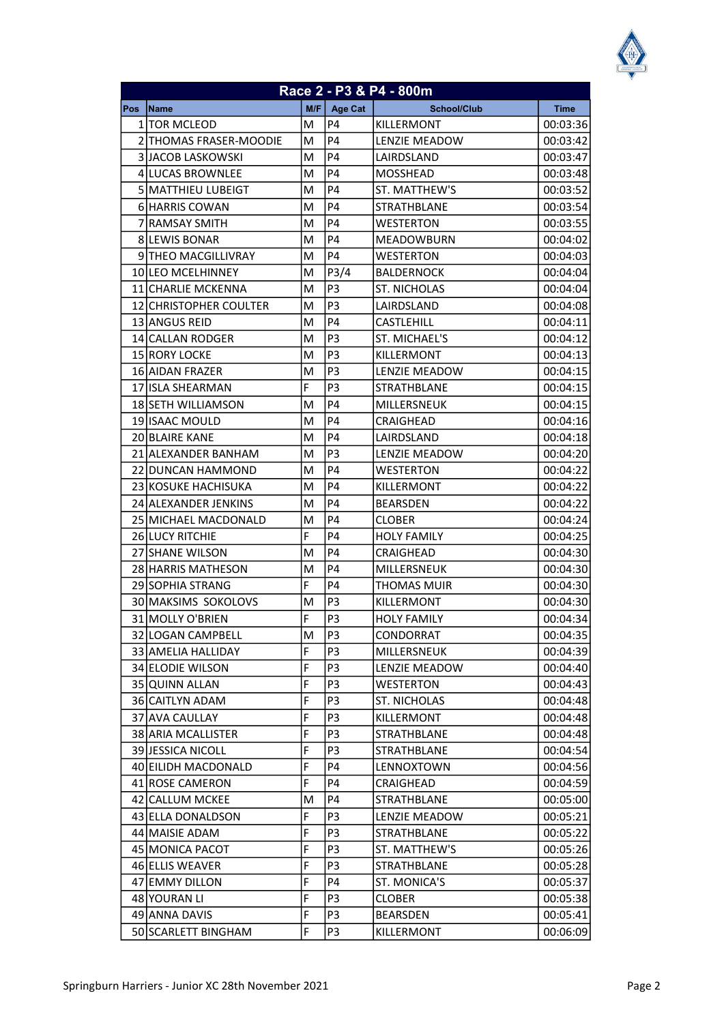| Race 2 - P3 & P4 - 800m |                               |     |                   |                      |             |  |
|-------------------------|-------------------------------|-----|-------------------|----------------------|-------------|--|
| Pos                     | <b>Name</b>                   | M/F | <b>Age Cat</b>    | <b>School/Club</b>   | <b>Time</b> |  |
|                         | 1   TOR MCLEOD                | М   | P4                | KILLERMONT           | 00:03:36    |  |
|                         | 2 THOMAS FRASER-MOODIE        | M   | P <sub>4</sub>    | <b>LENZIE MEADOW</b> | 00:03:42    |  |
|                         | 3 JACOB LASKOWSKI             | м   | <b>P4</b>         | LAIRDSLAND           | 00:03:47    |  |
|                         | 4 LUCAS BROWNLEE              | M   | <b>P4</b>         | <b>MOSSHEAD</b>      | 00:03:48    |  |
|                         | 5 MATTHIEU LUBEIGT            | м   | <b>P4</b>         | ST. MATTHEW'S        | 00:03:52    |  |
|                         | 6 HARRIS COWAN                | M   | P <sub>4</sub>    | STRATHBLANE          | 00:03:54    |  |
|                         | 7 RAMSAY SMITH                | M   | <b>P4</b>         | <b>WESTERTON</b>     | 00:03:55    |  |
|                         | 8 LEWIS BONAR                 | M   | <b>P4</b>         | <b>MEADOWBURN</b>    | 00:04:02    |  |
|                         | 9 THEO MACGILLIVRAY           | M   | <b>P4</b>         | <b>WESTERTON</b>     | 00:04:03    |  |
|                         | 10 LEO MCELHINNEY             | M   | P <sub>3</sub> /4 | <b>BALDERNOCK</b>    | 00:04:04    |  |
|                         | 11 CHARLIE MCKENNA            | M   | P <sub>3</sub>    | <b>ST. NICHOLAS</b>  | 00:04:04    |  |
|                         | <b>12 CHRISTOPHER COULTER</b> | M   | P <sub>3</sub>    | LAIRDSLAND           | 00:04:08    |  |
|                         | 13 ANGUS REID                 | м   | P <sub>4</sub>    | <b>CASTLEHILL</b>    | 00:04:11    |  |
|                         | 14 CALLAN RODGER              | M   | P3                | ST. MICHAEL'S        | 00:04:12    |  |
|                         | 15 RORY LOCKE                 | M   | P <sub>3</sub>    | KILLERMONT           | 00:04:13    |  |
|                         | 16 AIDAN FRAZER               | M   | P <sub>3</sub>    | <b>LENZIE MEADOW</b> | 00:04:15    |  |
|                         | 17 ISLA SHEARMAN              | F   | P3                | STRATHBLANE          | 00:04:15    |  |
|                         | 18 SETH WILLIAMSON            | M   | P4                | MILLERSNEUK          | 00:04:15    |  |
|                         | 19 ISAAC MOULD                | M   | <b>P4</b>         | CRAIGHEAD            | 00:04:16    |  |
|                         | <b>20 BLAIRE KANE</b>         | M   | <b>P4</b>         | LAIRDSLAND           | 00:04:18    |  |
|                         | 21 ALEXANDER BANHAM           | м   | P <sub>3</sub>    | LENZIE MEADOW        | 00:04:20    |  |
|                         | 22 DUNCAN HAMMOND             | M   | P <sub>4</sub>    | <b>WESTERTON</b>     | 00:04:22    |  |
|                         | 23 KOSUKE HACHISUKA           | M   | <b>P4</b>         | KILLERMONT           | 00:04:22    |  |
|                         | 24 ALEXANDER JENKINS          | м   | <b>P4</b>         | <b>BEARSDEN</b>      | 00:04:22    |  |
|                         | 25 MICHAEL MACDONALD          | M   | P <sub>4</sub>    | <b>CLOBER</b>        | 00:04:24    |  |
|                         | <b>26 LUCY RITCHIE</b>        | F   | <b>P4</b>         | <b>HOLY FAMILY</b>   | 00:04:25    |  |
|                         | 27 SHANE WILSON               | M   | <b>P4</b>         | CRAIGHEAD            | 00:04:30    |  |
|                         | 28 HARRIS MATHESON            | M   | <b>P4</b>         | MILLERSNEUK          | 00:04:30    |  |
|                         | 29 SOPHIA STRANG              | F   | <b>P4</b>         | THOMAS MUIR          | 00:04:30    |  |
|                         | 30 MAKSIMS SOKOLOVS           | M   | P3                | KILLERMONT           | 00:04:30    |  |
|                         | 31 MOLLY O'BRIEN              | F   | P <sub>3</sub>    | <b>HOLY FAMILY</b>   | 00:04:34    |  |
|                         | 32 LOGAN CAMPBELL             | M   | P3                | CONDORRAT            | 00:04:35    |  |
|                         | 33 AMELIA HALLIDAY            | F   | P <sub>3</sub>    | MILLERSNEUK          | 00:04:39    |  |
|                         | 34 ELODIE WILSON              | F   | P <sub>3</sub>    | <b>LENZIE MEADOW</b> | 00:04:40    |  |
|                         | 35 QUINN ALLAN                | F   | P3                | WESTERTON            | 00:04:43    |  |
|                         | 36 CAITLYN ADAM               | F   | P <sub>3</sub>    | ST. NICHOLAS         | 00:04:48    |  |
|                         | 37 AVA CAULLAY                | F   | P <sub>3</sub>    | KILLERMONT           | 00:04:48    |  |
|                         | 38 ARIA MCALLISTER            | F   | P <sub>3</sub>    | STRATHBLANE          | 00:04:48    |  |
|                         | 39 JESSICA NICOLL             | F   | P <sub>3</sub>    | STRATHBLANE          | 00:04:54    |  |
|                         | 40 EILIDH MACDONALD           | F   | P4                | LENNOXTOWN           | 00:04:56    |  |
|                         | 41 ROSE CAMERON               | F   | P4                | CRAIGHEAD            | 00:04:59    |  |
|                         | 42 CALLUM MCKEE               | M   | P4                | STRATHBLANE          | 00:05:00    |  |
|                         | 43 ELLA DONALDSON             | F   | P <sub>3</sub>    | LENZIE MEADOW        | 00:05:21    |  |
|                         | 44 MAISIE ADAM                | F   | P3                | STRATHBLANE          | 00:05:22    |  |
|                         | 45 MONICA PACOT               | F   | P <sub>3</sub>    | ST. MATTHEW'S        | 00:05:26    |  |
|                         | 46 ELLIS WEAVER               | F   | P <sub>3</sub>    | <b>STRATHBLANE</b>   | 00:05:28    |  |
|                         | 47 EMMY DILLON                | F   | P4                | ST. MONICA'S         | 00:05:37    |  |
|                         | 48 YOURAN LI                  | F   | P3                | <b>CLOBER</b>        | 00:05:38    |  |
|                         | 49 ANNA DAVIS                 | F   | P3                | <b>BEARSDEN</b>      | 00:05:41    |  |
|                         | 50 SCARLETT BINGHAM           | F   | P3                | KILLERMONT           | 00:06:09    |  |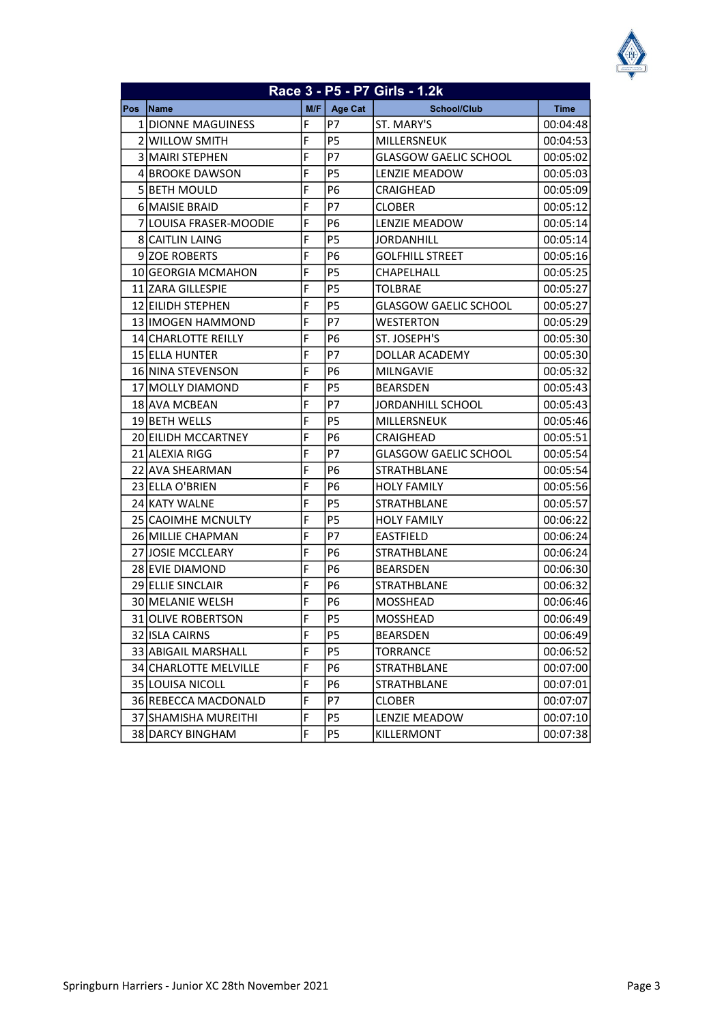|     |                            |     |                | Race 3 - P5 - P7 Girls - 1.2k |             |
|-----|----------------------------|-----|----------------|-------------------------------|-------------|
| Pos | Name                       | M/F | Age Cat        | <b>School/Club</b>            | <b>Time</b> |
|     | 1 IDIONNE MAGUINESS        | F   | P7             | <b>ST. MARY'S</b>             | 00:04:48    |
|     | 2 WILLOW SMITH             | F   | P <sub>5</sub> | MILLERSNEUK                   | 00:04:53    |
|     | <b>3 MAIRI STEPHEN</b>     | F   | P7             | <b>GLASGOW GAELIC SCHOOL</b>  | 00:05:02    |
|     | 41BROOKE DAWSON            | F   | P <sub>5</sub> | LENZIE MEADOW                 | 00:05:03    |
|     | <b>5 BETH MOULD</b>        | F   | P <sub>6</sub> | CRAIGHEAD                     | 00:05:09    |
|     | <b>6IMAISIE BRAID</b>      | F   | P7             | <b>CLOBER</b>                 | 00:05:12    |
|     | 7 LOUISA FRASER-MOODIE     | F   | Р6             | <b>LENZIE MEADOW</b>          | 00:05:14    |
|     | <b>8 CAITLIN LAING</b>     | F   | P <sub>5</sub> | JORDANHILL                    | 00:05:14    |
|     | <b>9IZOE ROBERTS</b>       | F   | Р6             | <b>GOLFHILL STREET</b>        | 00:05:16    |
|     | 10IGEORGIA MCMAHON         | F   | P <sub>5</sub> | CHAPELHALL                    | 00:05:25    |
|     | 11 ZARA GILLESPIE          | F   | P <sub>5</sub> | <b>TOLBRAE</b>                | 00:05:27    |
|     | <b>12 EILIDH STEPHEN</b>   | F   | P <sub>5</sub> | <b>GLASGOW GAELIC SCHOOL</b>  | 00:05:27    |
|     | 13 IIMOGEN HAMMOND         | F   | P7             | WESTERTON                     | 00:05:29    |
|     | <b>14ICHARLOTTE REILLY</b> | F   | Р6             | ST. JOSEPH'S                  | 00:05:30    |
|     | 15 JELLA HUNTER            | F   | P7             | <b>DOLLAR ACADEMY</b>         | 00:05:30    |
|     | 16 NINA STEVENSON          | F   | P6             | <b>MILNGAVIE</b>              | 00:05:32    |
|     | 17 MOLLY DIAMOND           | F   | P <sub>5</sub> | <b>BEARSDEN</b>               | 00:05:43    |
|     | 18IAVA MCBEAN              | F   | P7             | JORDANHILL SCHOOL             | 00:05:43    |
|     | 19 BETH WELLS              | F   | P <sub>5</sub> | <b>MILLERSNEUK</b>            | 00:05:46    |
|     | 20 EILIDH MCCARTNEY        | F   | P <sub>6</sub> | CRAIGHEAD                     | 00:05:51    |
|     | 21 ALEXIA RIGG             | F   | P7             | <b>GLASGOW GAELIC SCHOOL</b>  | 00:05:54    |
|     | 22 JAVA SHEARMAN           | F   | P <sub>6</sub> | STRATHBLANE                   | 00:05:54    |
|     | 23 ELLA O'BRIEN            | F   | P <sub>6</sub> | <b>HOLY FAMILY</b>            | 00:05:56    |
|     | 24 KATY WALNE              | F   | P <sub>5</sub> | <b>STRATHBLANE</b>            | 00:05:57    |
|     | 25 CAOIMHE MCNULTY         | F   | P <sub>5</sub> | <b>HOLY FAMILY</b>            | 00:06:22    |
|     | 26 MILLIE CHAPMAN          | F   | P7             | EASTFIELD                     | 00:06:24    |
|     | 27 JOSIE MCCLEARY          | F   | P6             | STRATHBLANE                   | 00:06:24    |
|     | 28 EVIE DIAMOND            | F   | P <sub>6</sub> | <b>BEARSDEN</b>               | 00:06:30    |
|     | 29 ELLIE SINCLAIR          | F   | P6             | STRATHBLANE                   | 00:06:32    |
|     | <b>30 IMELANIE WELSH</b>   | F   | P6             | <b>MOSSHEAD</b>               | 00:06:46    |
|     | 31 OLIVE ROBERTSON         | F   | P <sub>5</sub> | <b>MOSSHEAD</b>               | 00:06:49    |
|     | 32 ISLA CAIRNS             | F   | P <sub>5</sub> | <b>BEARSDEN</b>               | 00:06:49    |
|     | 33 ABIGAIL MARSHALL        | F   | P5             | TORRANCE                      | 00:06:52    |
|     | 34 CHARLOTTE MELVILLE      | F   | <b>P6</b>      | <b>STRATHBLANE</b>            | 00:07:00    |
|     | 35 LOUISA NICOLL           | F   | P6             | <b>STRATHBLANE</b>            | 00:07:01    |
|     | 36 REBECCA MACDONALD       | F   | P7             | <b>CLOBER</b>                 | 00:07:07    |
|     | 37 SHAMISHA MUREITHI       | F   | P5             | LENZIE MEADOW                 | 00:07:10    |
|     | 38 DARCY BINGHAM           | F   | P5             | <b>KILLERMONT</b>             | 00:07:38    |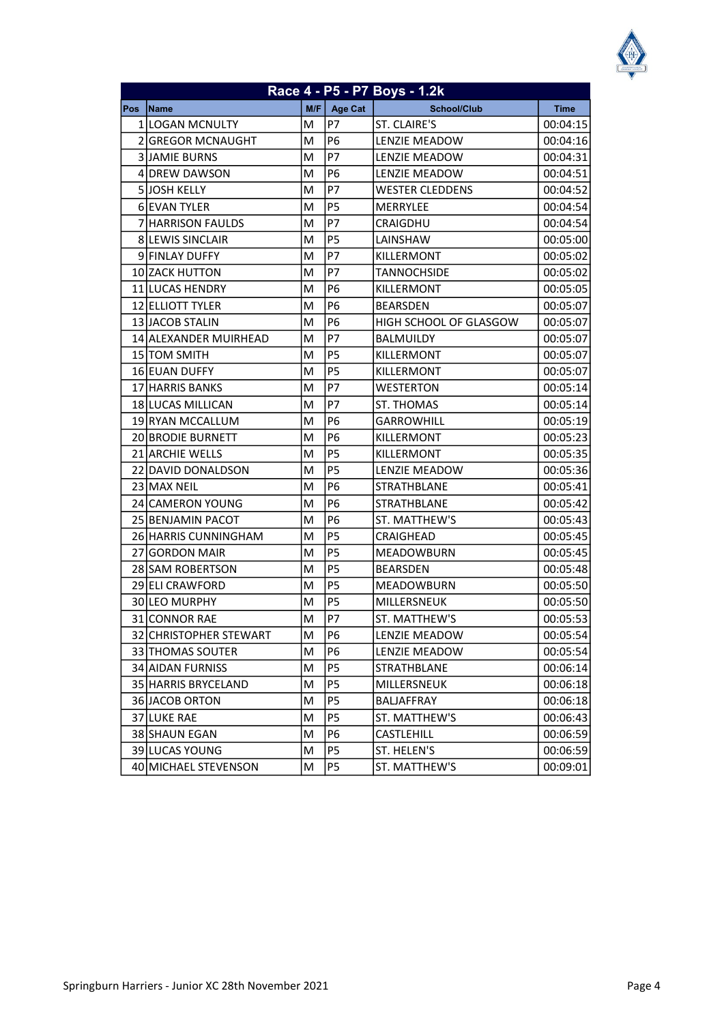| Race 4 - P5 - P7 Boys - 1.2k |                           |     |                |                               |             |
|------------------------------|---------------------------|-----|----------------|-------------------------------|-------------|
| Pos                          | Name                      | M/F | <b>Age Cat</b> | <b>School/Club</b>            | <b>Time</b> |
|                              | 1 LOGAN MCNULTY           | M   | P7             | ST. CLAIRE'S                  | 00:04:15    |
|                              | 2 GREGOR MCNAUGHT         | M   | <b>P6</b>      | LENZIE MEADOW                 | 00:04:16    |
|                              | <b>3 JAMIE BURNS</b>      | M   | Р7             | <b>LENZIE MEADOW</b>          | 00:04:31    |
|                              | 4IDREW DAWSON             | M   | P <sub>6</sub> | <b>LENZIE MEADOW</b>          | 00:04:51    |
|                              | <b>5 JJOSH KELLY</b>      | M   | P7             | <b>WESTER CLEDDENS</b>        | 00:04:52    |
|                              | 6 EVAN TYLER              | M   | P5             | MERRYLEE                      | 00:04:54    |
|                              | 7 HARRISON FAULDS         | M   | P7             | CRAIGDHU                      | 00:04:54    |
|                              | 8 LEWIS SINCLAIR          | M   | P <sub>5</sub> | LAINSHAW                      | 00:05:00    |
|                              | 9 FINLAY DUFFY            | M   | P7             | KILLERMONT                    | 00:05:02    |
|                              | 10 ZACK HUTTON            | M   | P7             | TANNOCHSIDE                   | 00:05:02    |
|                              | 11 LUCAS HENDRY           | M   | P <sub>6</sub> | KILLERMONT                    | 00:05:05    |
|                              | 12 ELLIOTT TYLER          | M   | P6             | <b>BEARSDEN</b>               | 00:05:07    |
|                              | 13 JACOB STALIN           | M   | P <sub>6</sub> | <b>HIGH SCHOOL OF GLASGOW</b> | 00:05:07    |
|                              | 14 ALEXANDER MUIRHEAD     | M   | P7             | <b>BALMUILDY</b>              | 00:05:07    |
|                              | 15 TOM SMITH              | M   | <b>P5</b>      | KILLERMONT                    | 00:05:07    |
|                              | 16 EUAN DUFFY             | M   | P <sub>5</sub> | KILLERMONT                    | 00:05:07    |
|                              | 17 HARRIS BANKS           | M   | P7             | <b>WESTERTON</b>              | 00:05:14    |
|                              | <b>18 ILUCAS MILLICAN</b> | M   | P7             | ST. THOMAS                    | 00:05:14    |
|                              | 19 RYAN MCCALLUM          | M   | P <sub>6</sub> | <b>GARROWHILL</b>             | 00:05:19    |
|                              | <b>20 BRODIE BURNETT</b>  | M   | P <sub>6</sub> | KILLERMONT                    | 00:05:23    |
|                              | 21 ARCHIE WELLS           | M   | P5             | KILLERMONT                    | 00:05:35    |
|                              | 22 DAVID DONALDSON        | M   | P <sub>5</sub> | <b>LENZIE MEADOW</b>          | 00:05:36    |
|                              | 23 MAX NEIL               | M   | P <sub>6</sub> | STRATHBLANE                   | 00:05:41    |
|                              | 24 CAMERON YOUNG          | M   | P <sub>6</sub> | STRATHBLANE                   | 00:05:42    |
|                              | 25 BENJAMIN PACOT         | M   | P6             | ST. MATTHEW'S                 | 00:05:43    |
|                              | 26 HARRIS CUNNINGHAM      | M   | P5             | <b>CRAIGHEAD</b>              | 00:05:45    |
|                              | 27 GORDON MAIR            | м   | P <sub>5</sub> | <b>MEADOWBURN</b>             | 00:05:45    |
|                              | 28 SAM ROBERTSON          | M   | P <sub>5</sub> | <b>BEARSDEN</b>               | 00:05:48    |
|                              | 29 ELI CRAWFORD           | M   | P5             | <b>MEADOWBURN</b>             | 00:05:50    |
|                              | 30 LEO MURPHY             | M   | Р5             | MILLERSNEUK                   | 00:05:50    |
|                              | 31 CONNOR RAE             | M   | P7             | ST. MATTHEW'S                 | 00:05:53    |
|                              | 32 CHRISTOPHER STEWART    | M   | P <sub>6</sub> | LENZIE MEADOW                 | 00:05:54    |
|                              | 33 THOMAS SOUTER          | M   | P6             | <b>LENZIE MEADOW</b>          | 00:05:54    |
|                              | 34 AIDAN FURNISS          | M   | P <sub>5</sub> | <b>STRATHBLANE</b>            | 00:06:14    |
|                              | 35 HARRIS BRYCELAND       | M   | P5             | MILLERSNEUK                   | 00:06:18    |
|                              | 36 JACOB ORTON            | M   | P5             | BALJAFFRAY                    | 00:06:18    |
|                              | 37 LUKE RAE               | M   | P5             | ST. MATTHEW'S                 | 00:06:43    |
|                              | 38 SHAUN EGAN             | M   | P6             | CASTLEHILL                    | 00:06:59    |
|                              | 39 LUCAS YOUNG            | M   | P <sub>5</sub> | ST. HELEN'S                   | 00:06:59    |
|                              | 40 MICHAEL STEVENSON      | M   | P5             | ST. MATTHEW'S                 | 00:09:01    |